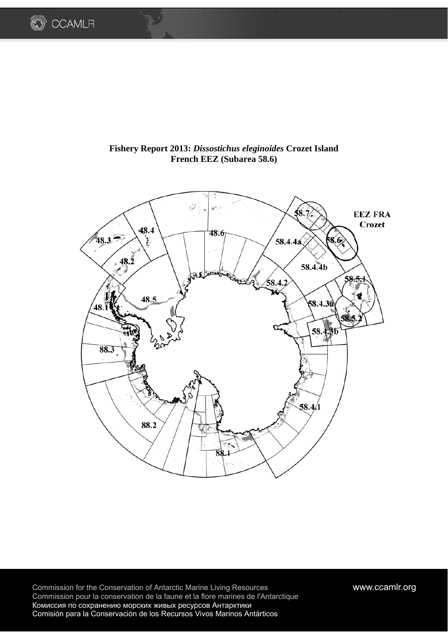

# **Fishery Report 2013:** *Dissostichus eleginoides* **Crozet Island French EEZ (Subarea 58.6)**



Commission for the Conservation of Antarctic Marine Living Resources **www.ccamlr.org** Commission pour la conservation de la faune et la flore marines de l'Antarctique Комиссия по сохранению морских живых ресурсов Антарктики Comisión para la Conservación de los Recursos Vivos Marinos Antárticos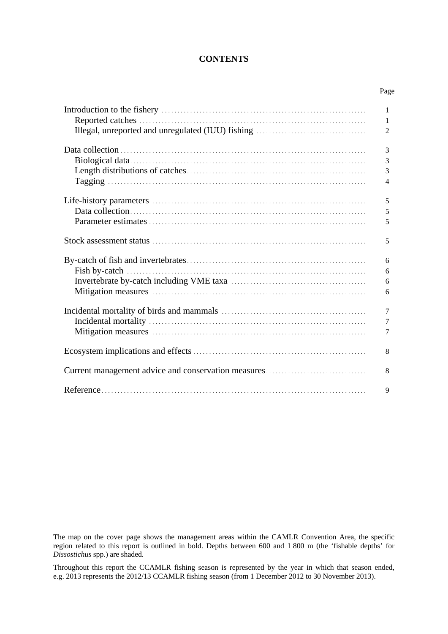## **CONTENTS**

Page

| $\mathbf{1}$   |
|----------------|
| 1              |
| $\overline{2}$ |
|                |
| 3              |
| $\mathfrak{Z}$ |
| 3              |
| $\overline{4}$ |
|                |
| 5              |
| 5              |
| 5              |
|                |
| 5              |
|                |
| 6              |
| 6              |
| 6              |
| 6              |
|                |
| $\overline{7}$ |
| $\overline{7}$ |
| 7              |
|                |
| 8              |
|                |
| 8              |
|                |
| 9              |

The map on the cover page shows the management areas within the CAMLR Convention Area, the specific region related to this report is outlined in bold. Depths between 600 and 1 800 m (the 'fishable depths' for *Dissostichus* spp.) are shaded.

Throughout this report the CCAMLR fishing season is represented by the year in which that season ended, e.g. 2013 represents the 2012/13 CCAMLR fishing season (from 1 December 2012 to 30 November 2013).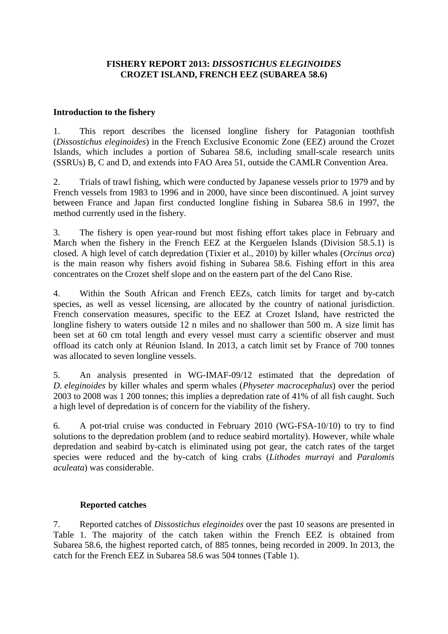## **FISHERY REPORT 2013:** *DISSOSTICHUS ELEGINOIDES* **CROZET ISLAND, FRENCH EEZ (SUBAREA 58.6)**

### **Introduction to the fishery**

1. This report describes the licensed longline fishery for Patagonian toothfish (*Dissostichus eleginoides*) in the French Exclusive Economic Zone (EEZ) around the Crozet Islands, which includes a portion of Subarea 58.6, including small-scale research units (SSRUs) B, C and D, and extends into FAO Area 51, outside the CAMLR Convention Area.

2. Trials of trawl fishing, which were conducted by Japanese vessels prior to 1979 and by French vessels from 1983 to 1996 and in 2000, have since been discontinued. A joint survey between France and Japan first conducted longline fishing in Subarea 58.6 in 1997, the method currently used in the fishery.

3. The fishery is open year-round but most fishing effort takes place in February and March when the fishery in the French EEZ at the Kerguelen Islands (Division 58.5.1) is closed. A high level of catch depredation (Tixier et al., 2010) by killer whales (*Orcinus orca*) is the main reason why fishers avoid fishing in Subarea 58.6. Fishing effort in this area concentrates on the Crozet shelf slope and on the eastern part of the del Cano Rise.

4. Within the South African and French EEZs, catch limits for target and by-catch species, as well as vessel licensing, are allocated by the country of national jurisdiction. French conservation measures, specific to the EEZ at Crozet Island, have restricted the longline fishery to waters outside 12 n miles and no shallower than 500 m. A size limit has been set at 60 cm total length and every vessel must carry a scientific observer and must offload its catch only at Réunion Island. In 2013, a catch limit set by France of 700 tonnes was allocated to seven longline vessels.

5. An analysis presented in WG-IMAF-09/12 estimated that the depredation of *D. eleginoides* by killer whales and sperm whales (*Physeter macrocephalus*) over the period 2003 to 2008 was 1 200 tonnes; this implies a depredation rate of 41% of all fish caught. Such a high level of depredation is of concern for the viability of the fishery.

6. A pot-trial cruise was conducted in February 2010 (WG-FSA-10/10) to try to find solutions to the depredation problem (and to reduce seabird mortality). However, while whale depredation and seabird by-catch is eliminated using pot gear, the catch rates of the target species were reduced and the by-catch of king crabs (*Lithodes murrayi* and *Paralomis aculeata*) was considerable.

### **Reported catches**

7. Reported catches of *Dissostichus eleginoides* over the past 10 seasons are presented in Table 1. The majority of the catch taken within the French EEZ is obtained from Subarea 58.6, the highest reported catch, of 885 tonnes, being recorded in 2009. In 2013, the catch for the French EEZ in Subarea 58.6 was 504 tonnes (Table 1).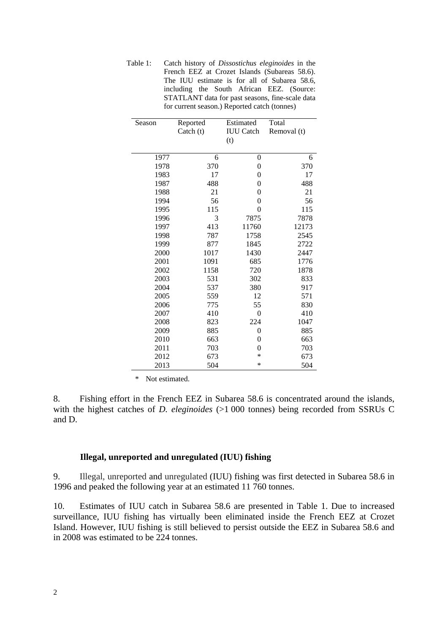Table 1: Catch history of *Dissostichus eleginoides* in the French EEZ at Crozet Islands (Subareas 58.6). The IUU estimate is for all of Subarea 58.6, including the South African EEZ. (Source: STATLANT data for past seasons, fine-scale data for current season.) Reported catch (tonnes)

| Season | Reported  | Estimated        | Total       |  |
|--------|-----------|------------------|-------------|--|
|        | Catch (t) | <b>IUU</b> Catch | Removal (t) |  |
|        |           | (t)              |             |  |
|        |           |                  |             |  |
| 1977   | 6         | $\boldsymbol{0}$ | 6           |  |
| 1978   | 370       | 0                | 370         |  |
| 1983   | 17        | $\boldsymbol{0}$ | 17          |  |
| 1987   | 488       | $\overline{0}$   | 488         |  |
| 1988   | 21        | $\overline{0}$   | 21          |  |
| 1994   | 56        | $\overline{0}$   | 56          |  |
| 1995   | 115       | $\theta$         | 115         |  |
| 1996   | 3         | 7875             | 7878        |  |
| 1997   | 413       | 11760            | 12173       |  |
| 1998   | 787       | 1758             | 2545        |  |
| 1999   | 877       | 1845             | 2722        |  |
| 2000   | 1017      | 1430             | 2447        |  |
| 2001   | 1091      | 685              | 1776        |  |
| 2002   | 1158      | 720              | 1878        |  |
| 2003   | 531       | 302              | 833         |  |
| 2004   | 537       | 380              | 917         |  |
| 2005   | 559       | 12               | 571         |  |
| 2006   | 775       | 55               | 830         |  |
| 2007   | 410       | 0                | 410         |  |
| 2008   | 823       | 224              | 1047        |  |
| 2009   | 885       | $\overline{0}$   | 885         |  |
| 2010   | 663       | $\overline{0}$   | 663         |  |
| 2011   | 703       | $\overline{0}$   | 703         |  |
| 2012   | 673       | $\ast$           | 673         |  |
| 2013   | 504       | $\ast$           | 504         |  |

\* Not estimated.

8. Fishing effort in the French EEZ in Subarea 58.6 is concentrated around the islands, with the highest catches of *D. eleginoides* (>1 000 tonnes) being recorded from SSRUs C and D.

#### **Illegal, unreported and unregulated (IUU) fishing**

9. Illegal, unreported and unregulated (IUU) fishing was first detected in Subarea 58.6 in 1996 and peaked the following year at an estimated 11 760 tonnes.

10. Estimates of IUU catch in Subarea 58.6 are presented in Table 1. Due to increased surveillance, IUU fishing has virtually been eliminated inside the French EEZ at Crozet Island. However, IUU fishing is still believed to persist outside the EEZ in Subarea 58.6 and in 2008 was estimated to be 224 tonnes.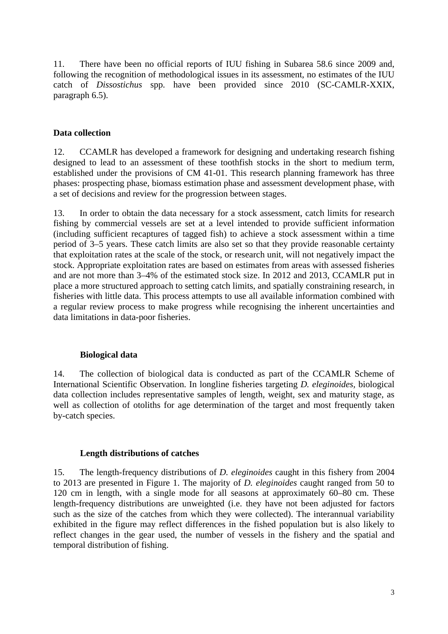11. There have been no official reports of IUU fishing in Subarea 58.6 since 2009 and, following the recognition of methodological issues in its assessment, no estimates of the IUU catch of *Dissostichus* spp. have been provided since 2010 (SC-CAMLR-XXIX, paragraph 6.5).

### **Data collection**

12. CCAMLR has developed a framework for designing and undertaking research fishing designed to lead to an assessment of these toothfish stocks in the short to medium term, established under the provisions of CM 41-01. This research planning framework has three phases: prospecting phase, biomass estimation phase and assessment development phase, with a set of decisions and review for the progression between stages.

13. In order to obtain the data necessary for a stock assessment, catch limits for research fishing by commercial vessels are set at a level intended to provide sufficient information (including sufficient recaptures of tagged fish) to achieve a stock assessment within a time period of 3–5 years. These catch limits are also set so that they provide reasonable certainty that exploitation rates at the scale of the stock, or research unit, will not negatively impact the stock. Appropriate exploitation rates are based on estimates from areas with assessed fisheries and are not more than 3–4% of the estimated stock size. In 2012 and 2013, CCAMLR put in place a more structured approach to setting catch limits, and spatially constraining research, in fisheries with little data. This process attempts to use all available information combined with a regular review process to make progress while recognising the inherent uncertainties and data limitations in data-poor fisheries.

### **Biological data**

14. The collection of biological data is conducted as part of the CCAMLR Scheme of International Scientific Observation. In longline fisheries targeting *D. eleginoides,* biological data collection includes representative samples of length, weight, sex and maturity stage, as well as collection of otoliths for age determination of the target and most frequently taken by-catch species.

### **Length distributions of catches**

15. The length-frequency distributions of *D. eleginoides* caught in this fishery from 2004 to 2013 are presented in Figure 1. The majority of *D. eleginoides* caught ranged from 50 to 120 cm in length, with a single mode for all seasons at approximately 60–80 cm. These length-frequency distributions are unweighted (i.e. they have not been adjusted for factors such as the size of the catches from which they were collected). The interannual variability exhibited in the figure may reflect differences in the fished population but is also likely to reflect changes in the gear used, the number of vessels in the fishery and the spatial and temporal distribution of fishing.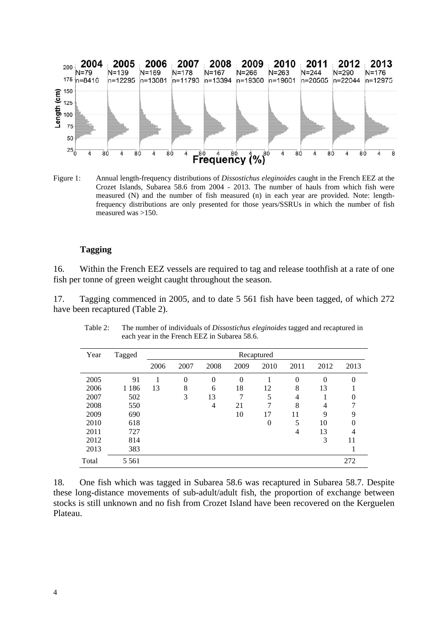

Figure 1: Annual length-frequency distributions of *Dissostichus eleginoides* caught in the French EEZ at the Crozet Islands, Subarea 58.6 from 2004 - 2013. The number of hauls from which fish were measured (N) and the number of fish measured (n) in each year are provided. Note: lengthfrequency distributions are only presented for those years/SSRUs in which the number of fish measured was >150.

#### **Tagging**

16. Within the French EEZ vessels are required to tag and release toothfish at a rate of one fish per tonne of green weight caught throughout the season.

17. Tagging commenced in 2005, and to date 5 561 fish have been tagged, of which 272 have been recaptured (Table 2).

| Year  | Tagged  | Recaptured |          |          |                  |          |          |                |          |
|-------|---------|------------|----------|----------|------------------|----------|----------|----------------|----------|
|       |         | 2006       | 2007     | 2008     | 2009             | 2010     | 2011     | 2012           | 2013     |
| 2005  | 91      |            | $\theta$ | $\Omega$ | $\boldsymbol{0}$ |          | $\theta$ | $\theta$       | $\theta$ |
| 2006  | 1 1 8 6 | 13         | 8        | 6        | 18               | 12       | 8        | 13             |          |
| 2007  | 502     |            | 3        | 13       | 7                | 5        | 4        |                | 0        |
| 2008  | 550     |            |          | 4        | 21               | 7        | 8        | $\overline{4}$ | ⇁        |
| 2009  | 690     |            |          |          | 10               | 17       | 11       | 9              | 9        |
| 2010  | 618     |            |          |          |                  | $\theta$ | 5        | 10             |          |
| 2011  | 727     |            |          |          |                  |          | 4        | 13             | 4        |
| 2012  | 814     |            |          |          |                  |          |          | 3              | 11       |
| 2013  | 383     |            |          |          |                  |          |          |                |          |
| Total | 5 5 6 1 |            |          |          |                  |          |          |                | 272      |

Table 2: The number of individuals of *Dissostichus eleginoides* tagged and recaptured in each year in the French EEZ in Subarea 58.6.

18. One fish which was tagged in Subarea 58.6 was recaptured in Subarea 58.7. Despite these long-distance movements of sub-adult/adult fish, the proportion of exchange between stocks is still unknown and no fish from Crozet Island have been recovered on the Kerguelen Plateau.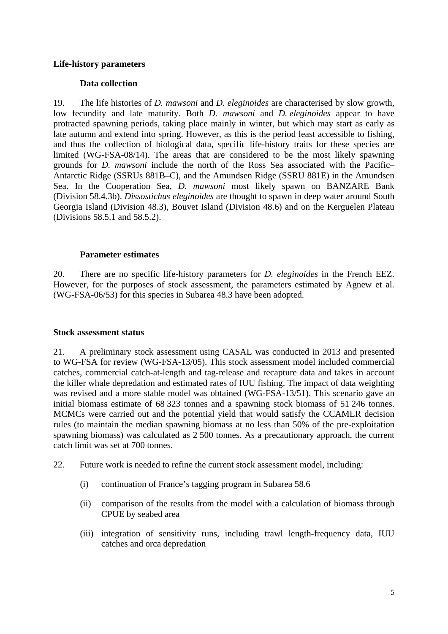### **Life-history parameters**

## **Data collection**

19. The life histories of *D. mawsoni* and *D. eleginoides* are characterised by slow growth, low fecundity and late maturity. Both *D. mawsoni* and *D. eleginoides* appear to have protracted spawning periods, taking place mainly in winter, but which may start as early as late autumn and extend into spring. However, as this is the period least accessible to fishing, and thus the collection of biological data, specific life-history traits for these species are limited (WG-FSA-08/14). The areas that are considered to be the most likely spawning grounds for *D. mawsoni* include the north of the Ross Sea associated with the Pacific– Antarctic Ridge (SSRUs 881B–C), and the Amundsen Ridge (SSRU 881E) in the Amundsen Sea. In the Cooperation Sea, *D. mawsoni* most likely spawn on BANZARE Bank (Division 58.4.3b). *Dissostichus eleginoides* are thought to spawn in deep water around South Georgia Island (Division 48.3), Bouvet Island (Division 48.6) and on the Kerguelen Plateau (Divisions 58.5.1 and 58.5.2).

## **Parameter estimates**

20. There are no specific life-history parameters for *D. eleginoides* in the French EEZ. However, for the purposes of stock assessment, the parameters estimated by Agnew et al. (WG-FSA-06/53) for this species in Subarea 48.3 have been adopted.

### **Stock assessment status**

21. A preliminary stock assessment using CASAL was conducted in 2013 and presented to WG-FSA for review (WG-FSA-13/05). This stock assessment model included commercial catches, commercial catch-at-length and tag-release and recapture data and takes in account the killer whale depredation and estimated rates of IUU fishing. The impact of data weighting was revised and a more stable model was obtained (WG-FSA-13/51). This scenario gave an initial biomass estimate of 68 323 tonnes and a spawning stock biomass of 51 246 tonnes. MCMCs were carried out and the potential yield that would satisfy the CCAMLR decision rules (to maintain the median spawning biomass at no less than 50% of the pre-exploitation spawning biomass) was calculated as 2 500 tonnes. As a precautionary approach, the current catch limit was set at 700 tonnes.

- 22. Future work is needed to refine the current stock assessment model, including:
	- (i) continuation of France's tagging program in Subarea 58.6
	- (ii) comparison of the results from the model with a calculation of biomass through CPUE by seabed area
	- (iii) integration of sensitivity runs, including trawl length-frequency data, IUU catches and orca depredation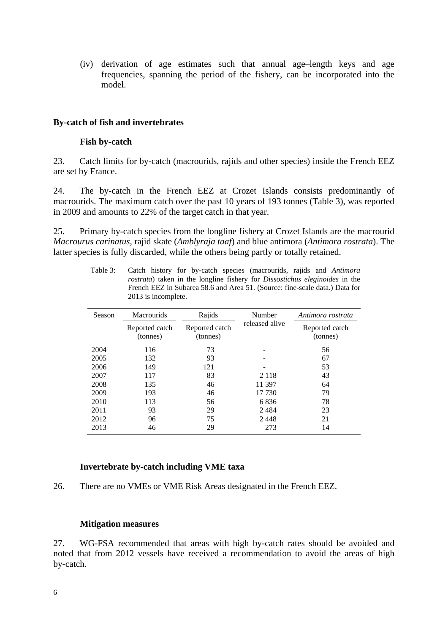(iv) derivation of age estimates such that annual age–length keys and age frequencies, spanning the period of the fishery, can be incorporated into the model.

### **By-catch of fish and invertebrates**

#### **Fish by-catch**

23. Catch limits for by-catch (macrourids, rajids and other species) inside the French EEZ are set by France.

24. The by-catch in the French EEZ at Crozet Islands consists predominantly of macrourids. The maximum catch over the past 10 years of 193 tonnes (Table 3), was reported in 2009 and amounts to 22% of the target catch in that year.

25. Primary by-catch species from the longline fishery at Crozet Islands are the macrourid *Macrourus carinatus*, rajid skate (*Amblyraja taaf*) and blue antimora (*Antimora rostrata*). The latter species is fully discarded, while the others being partly or totally retained.

| Season | <b>Macrourids</b>          | Rajids                     | Number         | Antimora rostrata          |  |
|--------|----------------------------|----------------------------|----------------|----------------------------|--|
|        | Reported catch<br>(tonnes) | Reported catch<br>(tonnes) | released alive | Reported catch<br>(tonnes) |  |
| 2004   | 116                        | 73                         |                | 56                         |  |
| 2005   | 132                        | 93                         |                | 67                         |  |
| 2006   | 149                        | 121                        |                | 53                         |  |
| 2007   | 117                        | 83                         | 2 1 1 8        | 43                         |  |
| 2008   | 135                        | 46                         | 11 397         | 64                         |  |
| 2009   | 193                        | 46                         | 17 730         | 79                         |  |
| 2010   | 113                        | 56                         | 6836           | 78                         |  |
| 2011   | 93                         | 29                         | 2484           | 23                         |  |
| 2012   | 96                         | 75                         | 2448           | 21                         |  |
| 2013   | 46                         | 29                         | 273            | 14                         |  |

Table 3: Catch history for by-catch species (macrourids, rajids and *Antimora rostrata*) taken in the longline fishery for *Dissostichus eleginoides* in the French EEZ in Subarea 58.6 and Area 51. (Source: fine-scale data.) Data for 2013 is incomplete.

### **Invertebrate by-catch including VME taxa**

26. There are no VMEs or VME Risk Areas designated in the French EEZ.

#### **Mitigation measures**

27. WG-FSA recommended that areas with high by-catch rates should be avoided and noted that from 2012 vessels have received a recommendation to avoid the areas of high by-catch.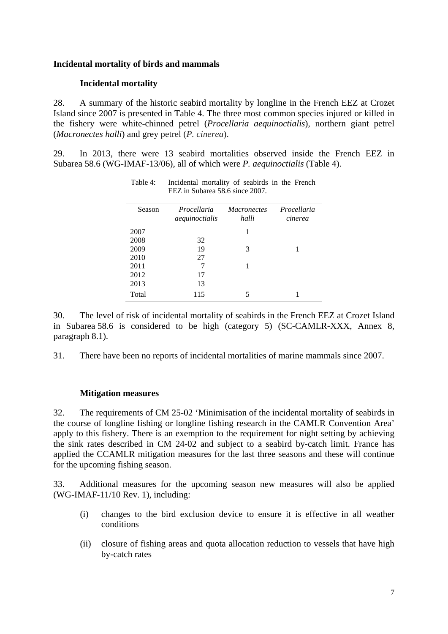### **Incidental mortality of birds and mammals**

### **Incidental mortality**

28. A summary of the historic seabird mortality by longline in the French EEZ at Crozet Island since 2007 is presented in Table 4. The three most common species injured or killed in the fishery were white-chinned petrel (*Procellaria aequinoctialis*), northern giant petrel (*Macronectes halli*) and grey petrel (*P. cinerea*).

29. In 2013, there were 13 seabird mortalities observed inside the French EEZ in Subarea 58.6 (WG-IMAF-13/06), all of which were *P. aequinoctialis* (Table 4).

| Season | Procellaria<br>aequinoctialis | <i>Macronectes</i><br>halli | Procellaria<br>cinerea |
|--------|-------------------------------|-----------------------------|------------------------|
| 2007   |                               |                             |                        |
| 2008   | 32                            |                             |                        |
| 2009   | 19                            | 3                           |                        |
| 2010   | 27                            |                             |                        |
| 2011   | 7                             |                             |                        |
| 2012   | 17                            |                             |                        |
| 2013   | 13                            |                             |                        |
| Total  | 115                           |                             |                        |

Table 4: Incidental mortality of seabirds in the French EEZ in Subarea 58.6 since 2007.

30. The level of risk of incidental mortality of seabirds in the French EEZ at Crozet Island in Subarea 58.6 is considered to be high (category 5) (SC-CAMLR-XXX, Annex 8, paragraph 8.1).

31. There have been no reports of incidental mortalities of marine mammals since 2007.

### **Mitigation measures**

32. The requirements of CM 25-02 'Minimisation of the incidental mortality of seabirds in the course of longline fishing or longline fishing research in the CAMLR Convention Area' apply to this fishery. There is an exemption to the requirement for night setting by achieving the sink rates described in CM 24-02 and subject to a seabird by-catch limit. France has applied the CCAMLR mitigation measures for the last three seasons and these will continue for the upcoming fishing season.

33. Additional measures for the upcoming season new measures will also be applied (WG-IMAF-11/10 Rev. 1), including:

- (i) changes to the bird exclusion device to ensure it is effective in all weather conditions
- (ii) closure of fishing areas and quota allocation reduction to vessels that have high by-catch rates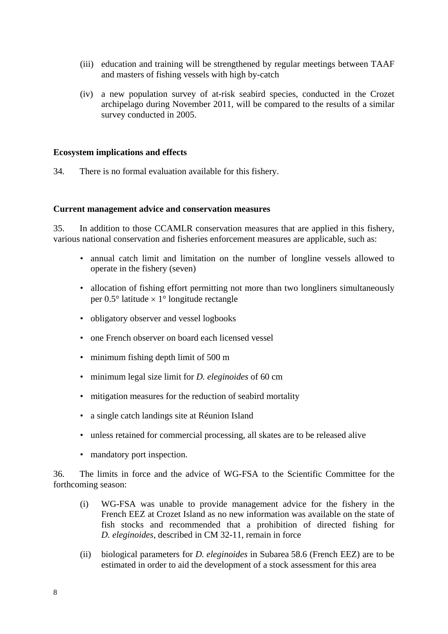- (iii) education and training will be strengthened by regular meetings between TAAF and masters of fishing vessels with high by-catch
- (iv) a new population survey of at-risk seabird species, conducted in the Crozet archipelago during November 2011, will be compared to the results of a similar survey conducted in 2005.

#### **Ecosystem implications and effects**

34. There is no formal evaluation available for this fishery.

#### **Current management advice and conservation measures**

35. In addition to those CCAMLR conservation measures that are applied in this fishery, various national conservation and fisheries enforcement measures are applicable, such as:

- annual catch limit and limitation on the number of longline vessels allowed to operate in the fishery (seven)
- allocation of fishing effort permitting not more than two longliners simultaneously per  $0.5^{\circ}$  latitude  $\times$  1° longitude rectangle
- obligatory observer and vessel logbooks
- one French observer on board each licensed vessel
- minimum fishing depth limit of 500 m
- minimum legal size limit for *D. eleginoides* of 60 cm
- mitigation measures for the reduction of seabird mortality
- a single catch landings site at Réunion Island
- unless retained for commercial processing, all skates are to be released alive
- mandatory port inspection.

36. The limits in force and the advice of WG-FSA to the Scientific Committee for the forthcoming season:

- (i) WG-FSA was unable to provide management advice for the fishery in the French EEZ at Crozet Island as no new information was available on the state of fish stocks and recommended that a prohibition of directed fishing for *D. eleginoides*, described in CM 32-11, remain in force
- (ii) biological parameters for *D. eleginoides* in Subarea 58.6 (French EEZ) are to be estimated in order to aid the development of a stock assessment for this area